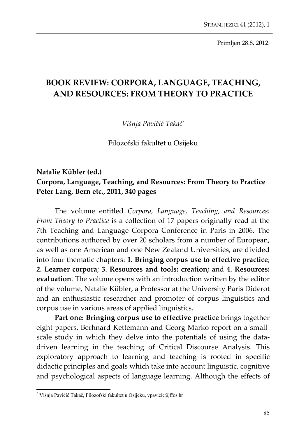Primljen 28.8. 2012.

## **BOOK REVIEW: CORPORA, LANGUAGE, TEACHING, AND RESOURCES: FROM THEORY TO PRACTICE**

*Višnja Pavičić Takač\**

Filozofski fakultet u Osijeku

## **Natalie Kübler (ed.) Corpora, Language, Teaching, and Resources: From Theory to Practice Peter Lang, Bern etc., 2011, 340 pages**

The volume entitled *Corpora, Language, Teaching, and Resources: From Theory to Practice* is a collection of 17 papers originally read at the 7th Teaching and Language Corpora Conference in Paris in 2006. The contributions authored by over 20 scholars from a number of European, as well as one American and one New Zealand Universities, are divided into four thematic chapters: **1. Bringing corpus use to effective practice**; **2. Learner corpora**; **3. Resources and tools: creation;** and **4. Resources: evaluation**. The volume opens with an introduction written by the editor of the volume, Natalie Kübler, a Professor at the University Paris Diderot and an enthusiastic researcher and promoter of corpus linguistics and corpus use in various areas of applied linguistics.

**Part one: Bringing corpus use to effective practice** brings together eight papers. Berhnard Kettemann and Georg Marko report on a small‐ scale study in which they delve into the potentials of using the datadriven learning in the teaching of Critical Discourse Analysis. This exploratory approach to learning and teaching is rooted in specific didactic principles and goals which take into account linguistic, cognitive and psychological aspects of language learning. Although the effects of

l

<sup>\*</sup> Višnja Pavičić Takač, Filozofski fakultet u Osijeku, vpavicic@ffos.hr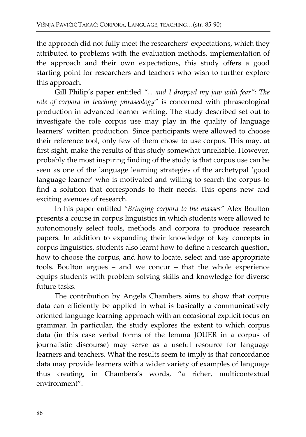the approach did not fully meet the researchers' expectations, which they attributed to problems with the evaluation methods, implementation of the approach and their own expectations, this study offers a good starting point for researchers and teachers who wish to further explore this approach.

Gill Philip's paper entitled *"... and I dropped my jaw with fear": The role of corpora in teaching phraseology"* is concerned with phraseological production in advanced learner writing. The study described set out to investigate the role corpus use may play in the quality of language learners' written production. Since participants were allowed to choose their reference tool, only few of them chose to use corpus. This may, at first sight, make the results of this study somewhat unreliable. However, probably the most inspiring finding of the study is that corpus use can be seen as one of the language learning strategies of the archetypal 'good language learner' who is motivated and willing to search the corpus to find a solution that corresponds to their needs. This opens new and exciting avenues of research.

In his paper entitled *"Bringing corpora to the masses"* Alex Boulton presents a course in corpus linguistics in which students were allowed to autonomously select tools, methods and corpora to produce research papers. In addition to expanding their knowledge of key concepts in corpus linguistics, students also learnt how to define a research question, how to choose the corpus, and how to locate, select and use appropriate tools. Boulton argues – and we concur – that the whole experience equips students with problem‐solving skills and knowledge for diverse future tasks.

The contribution by Angela Chambers aims to show that corpus data can efficiently be applied in what is basically a communicatively oriented language learning approach with an occasional explicit focus on grammar. In particular, the study explores the extent to which corpus data (in this case verbal forms of the lemma JOUER in a corpus of journalistic discourse) may serve as a useful resource for language learners and teachers. What the results seem to imply is that concordance data may provide learners with a wider variety of examples of language thus creating, in Chambers's words, "a richer, multicontextual environment".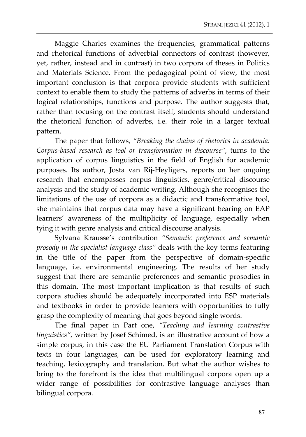Maggie Charles examines the frequencies, grammatical patterns and rhetorical functions of adverbial connectors of contrast (however, yet, rather, instead and in contrast) in two corpora of theses in Politics and Materials Science. From the pedagogical point of view, the most important conclusion is that corpora provide students with sufficient context to enable them to study the patterns of adverbs in terms of their logical relationships, functions and purpose. The author suggests that, rather than focusing on the contrast itself, students should understand the rhetorical function of adverbs, i.e. their role in a larger textual pattern.

The paper that follows, *"Breaking the chains of rhetorics in academia: Corpus‐based research as tool or transformation in discourse"*, turns to the application of corpus linguistics in the field of English for academic purposes. Its author, Josta van Rij‐Heyligers, reports on her ongoing research that encompasses corpus linguistics, genre/critical discourse analysis and the study of academic writing. Although she recognises the limitations of the use of corpora as a didactic and transformative tool, she maintains that corpus data may have a significant bearing on EAP learners' awareness of the multiplicity of language, especially when tying it with genre analysis and critical discourse analysis.

Sylvana Krausse's contribution *"Semantic preference and semantic prosody in the specialist language class"* deals with the key terms featuring in the title of the paper from the perspective of domain‐specific language, i.e. environmental engineering. The results of her study suggest that there are semantic preferences and semantic prosodies in this domain. The most important implication is that results of such corpora studies should be adequately incorporated into ESP materials and textbooks in order to provide learners with opportunities to fully grasp the complexity of meaning that goes beyond single words.

The final paper in Part one, *"Teaching and learning contrastive linguistics"*, written by Josef Schimed, is an illustrative account of how a simple corpus, in this case the EU Parliament Translation Corpus with texts in four languages, can be used for exploratory learning and teaching, lexicography and translation. But what the author wishes to bring to the forefront is the idea that multilingual corpora open up a wider range of possibilities for contrastive language analyses than bilingual corpora.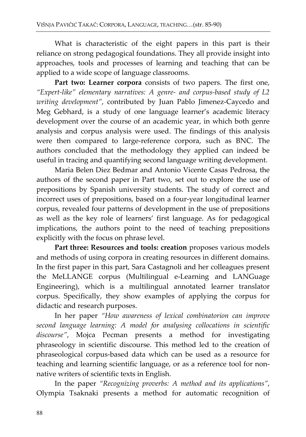What is characteristic of the eight papers in this part is their reliance on strong pedagogical foundations. They all provide insight into approaches, tools and processes of learning and teaching that can be applied to a wide scope of language classrooms.

**Part two: Learner corpora** consists of two papers. The first one, *"Expert‐like" elementary narratives: A genre‐ and corpus‐based study of L2 writing development"*, contributed by Juan Pablo Jimenez‐Caycedo and Meg Gebhard, is a study of one language learner's academic literacy development over the course of an academic year, in which both genre analysis and corpus analysis were used. The findings of this analysis were then compared to large-reference corpora, such as BNC. The authors concluded that the methodology they applied can indeed be useful in tracing and quantifying second language writing development.

Maria Belen Diez Bedmar and Antonio Vicente Casas Pedrosa, the authors of the second paper in Part two, set out to explore the use of prepositions by Spanish university students. The study of correct and incorrect uses of prepositions, based on a four‐year longitudinal learner corpus, revealed four patterns of development in the use of prepositions as well as the key role of learners' first language. As for pedagogical implications, the authors point to the need of teaching prepositions explicitly with the focus on phrase level.

**Part three: Resources and tools: creation** proposes various models and methods of using corpora in creating resources in different domains. In the first paper in this part, Sara Castagnoli and her colleagues present the MeLLANGE corpus (Multilingual e‐Learning and LANGuage Engineering), which is a multilingual annotated learner translator corpus. Specifically, they show examples of applying the corpus for didactic and research purposes.

In her paper *"How awareness of lexical combinatorion can improve second language learning: A model for analysing collocations in scientific discourse"*, Mojca Pecman presents a method for investigating phraseology in scientific discourse. This method led to the creation of phraseological corpus‐based data which can be used as a resource for teaching and learning scientific language, or as a reference tool for nonnative writers of scientific texts in English.

In the paper *"Recognizing proverbs: A method and its applications"*, Olympia Tsaknaki presents a method for automatic recognition of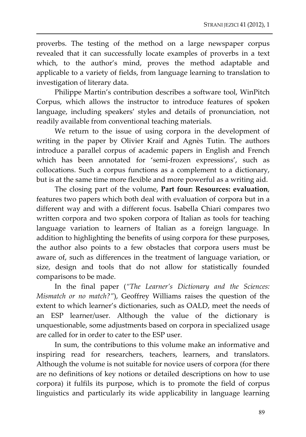proverbs. The testing of the method on a large newspaper corpus revealed that it can successfully locate examples of proverbs in a text which, to the author's mind, proves the method adaptable and applicable to a variety of fields, from language learning to translation to investigation of literary data.

Philippe Martin's contribution describes a software tool, WinPitch Corpus, which allows the instructor to introduce features of spoken language, including speakers' styles and details of pronunciation, not readily available from conventional teaching materials.

We return to the issue of using corpora in the development of writing in the paper by Olivier Kraif and Agnès Tutin. The authors introduce a parallel corpus of academic papers in English and French which has been annotated for 'semi-frozen expressions', such as collocations. Such a corpus functions as a complement to a dictionary, but is at the same time more flexible and more powerful as a writing aid.

The closing part of the volume, **Part four: Resources: evaluation**, features two papers which both deal with evaluation of corpora but in a different way and with a different focus. Isabella Chiari compares two written corpora and two spoken corpora of Italian as tools for teaching language variation to learners of Italian as a foreign language. In addition to highlighting the benefits of using corpora for these purposes, the author also points to a few obstacles that corpora users must be aware of, such as differences in the treatment of language variation, or size, design and tools that do not allow for statistically founded comparisons to be made.

In the final paper (*"The Learner's Dictionary and the Sciences: Mismatch or no match?"*), Geoffrey Williams raises the question of the extent to which learner's dictionaries, such as OALD, meet the needs of an ESP learner/user. Although the value of the dictionary is unquestionable, some adjustments based on corpora in specialized usage are called for in order to cater to the ESP user.

In sum, the contributions to this volume make an informative and inspiring read for researchers, teachers, learners, and translators. Although the volume is not suitable for novice users of corpora (for there are no definitions of key notions or detailed descriptions on how to use corpora) it fulfils its purpose, which is to promote the field of corpus linguistics and particularly its wide applicability in language learning